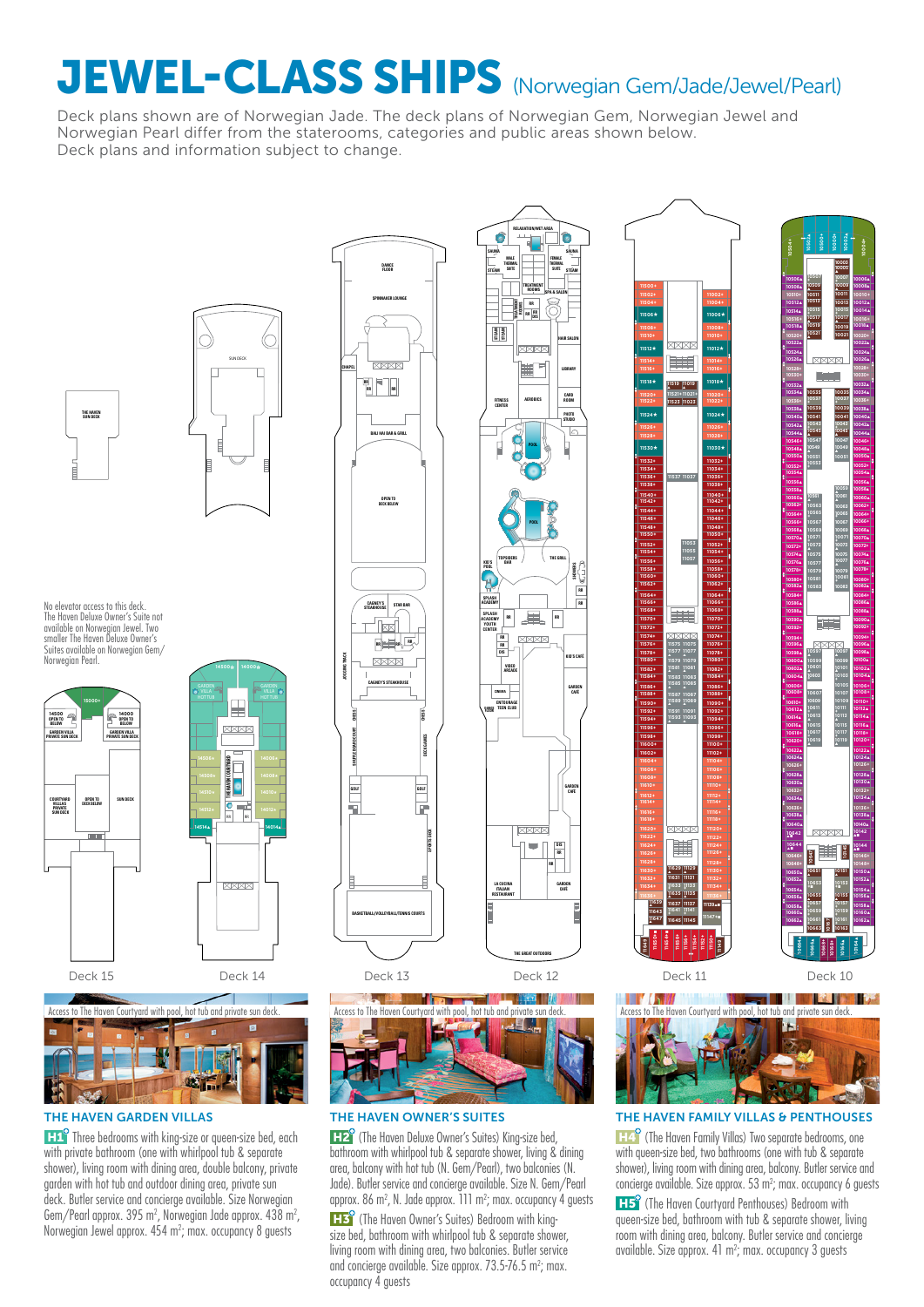# JEWEL-CLASS SHIPS (Norwegian Gem/Jade/Jewel/Pearl)

Deck plans shown are of Norwegian Jade. The deck plans of Norwegian Gem, Norwegian Jewel and Norwegian Pearl differ from the staterooms, categories and public areas shown below. Deck plans and information subject to change.



SUN DECK

No elevator access to this deck. The Haven Deluxe Owner's Suite not available on Norwegian Jewel. Two smaller The Haven Deluxe Owner's Suites available on Norwegian Gem Norwegian Pearl.





**H1<sup>o</sup>** Three bedrooms with king-size or queen-size bed, each with private bathroom (one with whirlpool tub & separate shower), living room with dining area, double balcony, private garden with hot tub and outdoor dining area, private sun deck. Butler service and concierge available. Size Norwegian Gem/Pearl approx.  $395 \text{ m}^2$ , Norwegian Jade approx.  $438 \text{ m}^2$ , Norwegian Jewel approx. 454 m²; max. occupancy 8 guests





**H2** (The Haven Deluxe Owner's Suites) King-size bed, bathroom with whirlpool tub & separate shower, living & dining area, balcony with hot tub (N. Gem/Pearl), two balconies (N. Jade). Butler service and concierge available. Size N. Gem/Pearl approx. 86 m<sup>2</sup>, N. Jade approx. 111 m<sup>2</sup>; max. occupancy 4 guests

**H3** (The Haven Owner's Suites) Bedroom with kingsize bed, bathroom with whirlpool tub & separate shower. living room with dining area, two balconies. Butler service and concierge available. Size approx.  $73.5\n-76.5$  m<sup>2</sup>; max. occupancy 4 guests





**10651** ▲ **10647**

**10646+ 10648+ 10650**▲ **10652**▲ **10654**▲ **10656**▲ **10658**▲ **10660**▲ **10662**▲

**10664**▲

**10666**▲ **10668+ 10168+ 10166**▲

**10653 +**■ **10655** ▲ **10657 + 10659 + 10661 + 10663**

**10167**

**XXXX** 

**10151** ▲ **10145**

**10146+ 10150**▲ **10152**▲ **10154**▲ **10156**▲ **10158**▲ **10160**▲ **10162**▲

**10164**▲

**10118+ 10122**▲ **10124**▲ **10128**▲ **10130**▲ **10134**▲ **10138**▲ **10140**▲ **10142** ▲■ **10144** ▲■

**+**■ **10155** ▲ **+ + 10163**

**10590**▲ **10594+ 10596**▲ **10598**▲ **10600**▲ **10602**▲ **10604**▲ **10606+ 10608+ 10610+ 10612**▲ **10614**▲ **10616**▲

**10618+ 10620+ 10622**▲ **10624**▲ **10626+ 10628**▲ **10630**▲ **10632+ 10634**▲ **10636+ 10638**▲ **10640**▲ **10642** ▲■ **10644** ▲■

**1057** ▲ **10575**

**SYSTEMS** 

 $\frac{1}{2}$ ÷

**10534**▲ **10536+ 10538**▲ **10540**▲ **10542**▲ **10544**▲ **10546+ 10548**▲ **10550**▲ **10552+ 10554**▲ **10556**▲ **10558**▲ **10560**▲ **10562+ 10566+ 10568**▲ **10570**▲ **10572+ 10574**▲ **10576**▲ **10578+ 10580+ 10582**▲ **10584+ 10586**▲ **10588**▲

**10006**▲ **10008**▲ **10012**▲ **10014**▲ **10018**▲ **10020+ 10022**▲ **10024**▲ **10026**▲ **10028+ 10032**▲ **10034**▲ **10038**▲ **10040**▲ **10042**▲ **10044**▲ **10048**▲ **10050**▲ **10052+ 10054**▲ **10056**▲ **10058**▲ **10060**▲ **10064+ 10066+ 10068**▲ **10070**▲ **10074**▲ **10076**▲ **10078+ 10082**▲ **10084+ 10086**▲ **10088**▲ **10090**▲ **10092+ 10094+ 10096**▲ **10098**▲ **10100**▲ **10102**▲ **10104**▲ **10108+ 10112**▲ **10114**▲ **10116**▲

**10004+ 10000+ 10002**▲

**10003 10005** ▲

**10506**▲ **10508**▲ **10510+ 10512**▲ **10514**▲ **10516+ 10518**▲ **10520+ 10522**▲ **10524**▲ **10526**▲ **10528+ 10530+ 10532**▲

**10504+ 10502**▲ **10500+**

THE HAVEN GARDEN VILLAS THE HAVEN OWNER'S SUITES THE HAVEN FAMILY VILLAS & PENTHOUSES

**H4<sup>9</sup>** (The Haven Family Villas) Two separate bedrooms, one with queen-size bed, two bathrooms (one with tub & separate shower), living room with dining area, balcony. Butler service and concierge available. Size approx.  $53 \text{ m}^2$ ; max. occupancy 6 guests

**H5** (The Haven Courtyard Penthouses) Bedroom with queen-size bed, bathroom with tub & separate shower, living room with dining area, balcony. Butler service and concierge available. Size approx.  $41 \text{ m}^2$ ; max. occupancy 3 guests